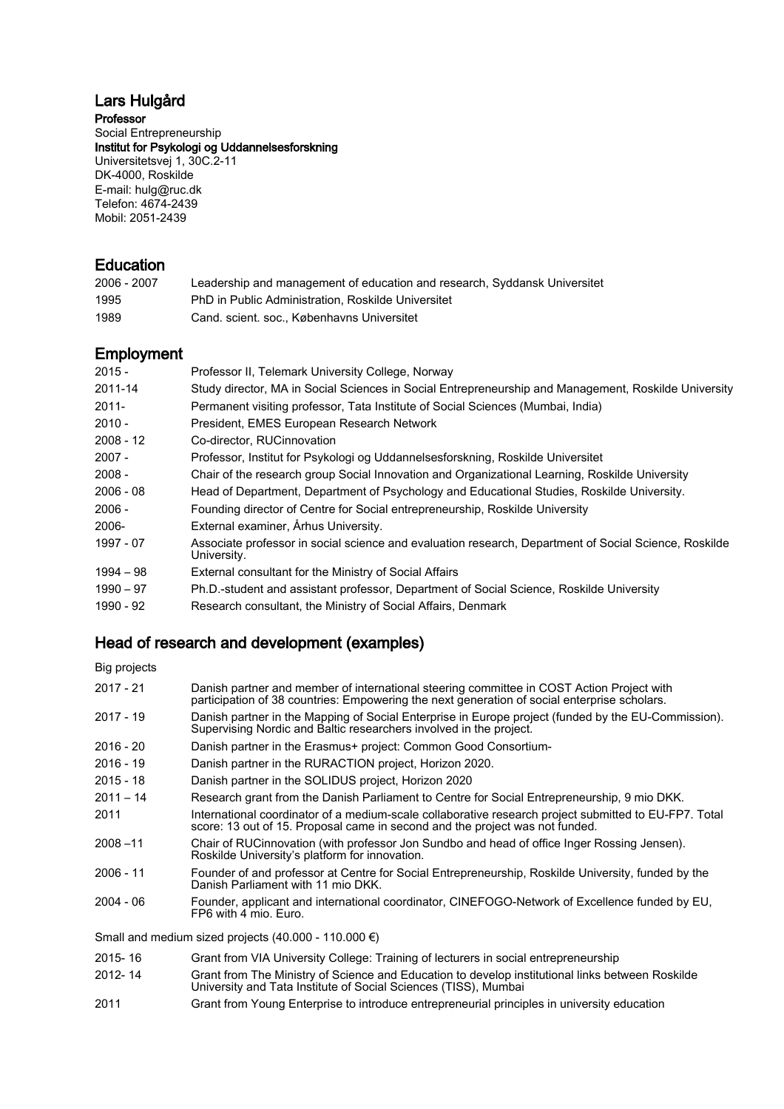### Lars Hulgård

Professor

Social Entrepreneurship Institut for Psykologi og Uddannelsesforskning Universitetsvej 1, 30C.2-11 DK-4000, Roskilde E-mail: hulg@ruc.dk Telefon: 4674-2439 Mobil: 2051-2439

### **Education**

| 2006 - 2007 | Leadership and management of education and research, Syddansk Universitet |
|-------------|---------------------------------------------------------------------------|
| 1995        | PhD in Public Administration, Roskilde Universitet                        |
| 1989        | Cand. scient. soc., Københavns Universitet                                |

### Employment

| 2015 -      | Professor II, Telemark University College, Norway                                                                    |
|-------------|----------------------------------------------------------------------------------------------------------------------|
| 2011-14     | Study director, MA in Social Sciences in Social Entrepreneurship and Management, Roskilde University                 |
| 2011-       | Permanent visiting professor, Tata Institute of Social Sciences (Mumbai, India)                                      |
| 2010 -      | President, EMES European Research Network                                                                            |
| 2008 - 12   | Co-director, RUCinnovation                                                                                           |
| 2007 -      | Professor, Institut for Psykologi og Uddannelsesforskning, Roskilde Universitet                                      |
| 2008 -      | Chair of the research group Social Innovation and Organizational Learning, Roskilde University                       |
| 2006 - 08   | Head of Department, Department of Psychology and Educational Studies, Roskilde University.                           |
| 2006 -      | Founding director of Centre for Social entrepreneurship, Roskilde University                                         |
| 2006-       | External examiner, Århus University.                                                                                 |
| 1997 - 07   | Associate professor in social science and evaluation research, Department of Social Science, Roskilde<br>University. |
| 1994 – 98   | External consultant for the Ministry of Social Affairs                                                               |
| $1990 - 97$ | Ph.D.-student and assistant professor, Department of Social Science, Roskilde University                             |
| 1990 - 92   | Research consultant, the Ministry of Social Affairs, Denmark                                                         |

#### Head of research and development (examples)

| Big projects |                                                                                                                                                                                           |
|--------------|-------------------------------------------------------------------------------------------------------------------------------------------------------------------------------------------|
| $2017 - 21$  | Danish partner and member of international steering committee in COST Action Project with<br>participation of 38 countries: Empowering the next generation of social enterprise scholars. |
| $2017 - 19$  | Danish partner in the Mapping of Social Enterprise in Europe project (funded by the EU-Commission).<br>Supervising Nordic and Baltic researchers involved in the project.                 |
| $2016 - 20$  | Danish partner in the Erasmus+ project: Common Good Consortium-                                                                                                                           |
| $2016 - 19$  | Danish partner in the RURACTION project, Horizon 2020.                                                                                                                                    |
| $2015 - 18$  | Danish partner in the SOLIDUS project, Horizon 2020                                                                                                                                       |
| $2011 - 14$  | Research grant from the Danish Parliament to Centre for Social Entrepreneurship, 9 mio DKK.                                                                                               |
| 2011         | International coordinator of a medium-scale collaborative research project submitted to EU-FP7. Total<br>score: 13 out of 15. Proposal came in second and the project was not funded.     |
| $2008 - 11$  | Chair of RUCinnovation (with professor Jon Sundbo and head of office Inger Rossing Jensen).<br>Roskilde University's platform for innovation.                                             |
| $2006 - 11$  | Founder of and professor at Centre for Social Entrepreneurship, Roskilde University, funded by the<br>Danish Parliament with 11 mio DKK.                                                  |
| $2004 - 06$  | Founder, applicant and international coordinator, CINEFOGO-Network of Excellence funded by EU,<br>FP6 with 4 mio. Euro.                                                                   |
|              | Small and medium sized projects (40.000 - 110.000 $\in$ )                                                                                                                                 |
| 2015-16      | Grant from VIA University College: Training of lecturers in social entrepreneurship                                                                                                       |
| 2012-14      | Grant from The Ministry of Science and Education to develop institutional links between Roskilde<br>University and Tata Institute of Social Sciences (TISS), Mumbai                       |

2011 Grant from Young Enterprise to introduce entrepreneurial principles in university education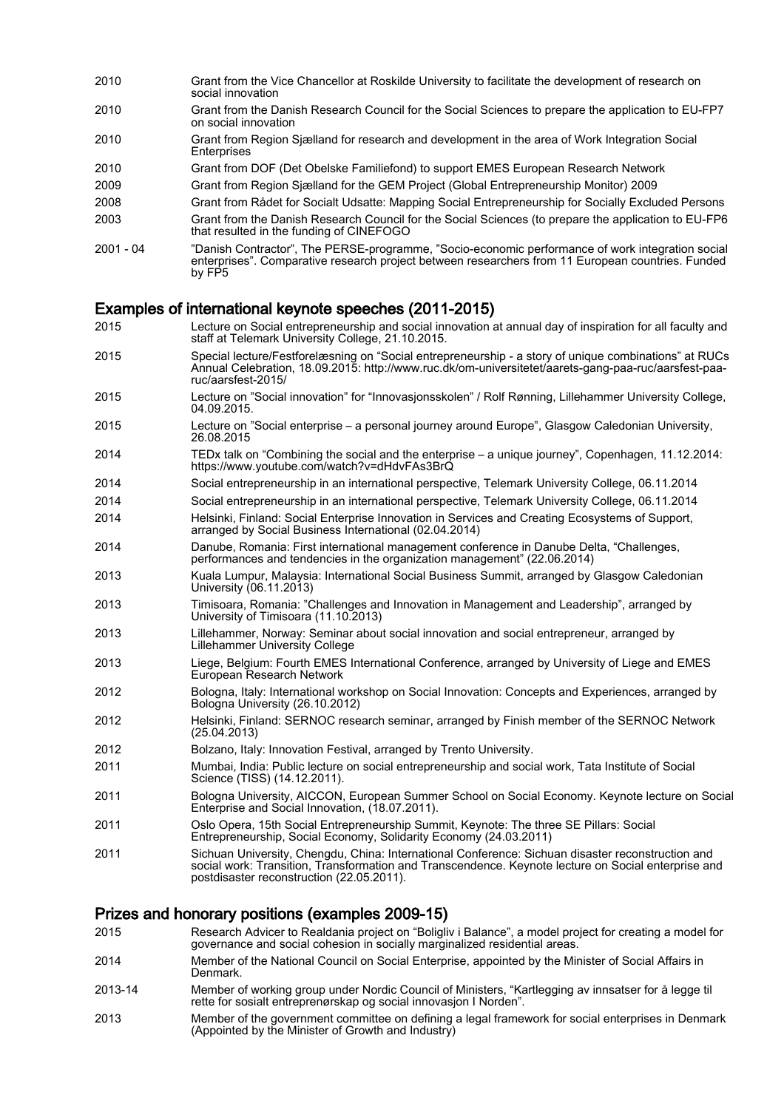| Grant from the Vice Chancellor at Roskilde University to facilitate the development of research on<br>social innovation                                                                                         |
|-----------------------------------------------------------------------------------------------------------------------------------------------------------------------------------------------------------------|
| Grant from the Danish Research Council for the Social Sciences to prepare the application to EU-FP7<br>on social innovation                                                                                     |
| Grant from Region Sjælland for research and development in the area of Work Integration Social<br>Enterprises                                                                                                   |
| Grant from DOF (Det Obelske Familiefond) to support EMES European Research Network                                                                                                                              |
| Grant from Region Sjælland for the GEM Project (Global Entrepreneurship Monitor) 2009                                                                                                                           |
| Grant from Rådet for Socialt Udsatte: Mapping Social Entrepreneurship for Socially Excluded Persons                                                                                                             |
| Grant from the Danish Research Council for the Social Sciences (to prepare the application to EU-FP6<br>that resulted in the funding of CINEFOGO                                                                |
| "Danish Contractor", The PERSE-programme, "Socio-economic performance of work integration social<br>enterprises". Comparative research project between researchers from 11 European countries. Funded<br>by FP5 |
|                                                                                                                                                                                                                 |

# **Examples of international keynote speeches (2011-2015)**<br>2015 Lecture on Social entrepreneurship and social innovation a

- Lecture on Social entrepreneurship and social innovation at annual day of inspiration for all faculty and staff at Telemark University College, 21.10.2015. 2015 Special lecture/Festforelæsning on "Social entrepreneurship - a story of unique combinations" at RUCs Annual Celebration, 18.09.2015: http://www.ruc.dk/om-universitetet/aarets-gang-paa-ruc/aarsfest-paaruc/aarsfest-2015/
- 2015 Lecture on "Social innovation" for "Innovasjonsskolen" / Rolf Rønning, Lillehammer University College, 04.09.2015.
- 2015 Lecture on "Social enterprise a personal journey around Europe", Glasgow Caledonian University, 26.08.2015
- 2014 TEDx talk on "Combining the social and the enterprise a unique journey", Copenhagen, 11.12.2014: https://www.youtube.com/watch?v=dHdvFAs3BrQ
- 2014 Social entrepreneurship in an international perspective, Telemark University College, 06.11.2014
- 2014 Social entrepreneurship in an international perspective, Telemark University College, 06.11.2014 2014 Helsinki, Finland: Social Enterprise Innovation in Services and Creating Ecosystems of Support,
- arranged by Social Business International (02.04.2014) 2014 Danube, Romania: First international management conference in Danube Delta, "Challenges, performances and tendencies in the organization management" (22.06.2014)
- 2013 Kuala Lumpur, Malaysia: International Social Business Summit, arranged by Glasgow Caledonian University (06.11.2013)
- 2013 Timisoara, Romania: "Challenges and Innovation in Management and Leadership", arranged by University of Timisoara (11.10.2013)
- 2013 Lillehammer, Norway: Seminar about social innovation and social entrepreneur, arranged by Lillehammer University College
- 2013 Liege, Belgium: Fourth EMES International Conference, arranged by University of Liege and EMES European Research Network
- 2012 Bologna, Italy: International workshop on Social Innovation: Concepts and Experiences, arranged by Bologna University (26.10.2012)
- 2012 Helsinki, Finland: SERNOC research seminar, arranged by Finish member of the SERNOC Network (25.04.2013)
- 2012 Bolzano, Italy: Innovation Festival, arranged by Trento University.
- 2011 Mumbai, India: Public lecture on social entrepreneurship and social work, Tata Institute of Social Science (TISS) (14.12.2011).
- 2011 Bologna University, AICCON, European Summer School on Social Economy. Keynote lecture on Social Enterprise and Social Innovation, (18.07.2011).
- 2011 Oslo Opera, 15th Social Entrepreneurship Summit, Keynote: The three SE Pillars: Social Entrepreneurship, Social Economy, Solidarity Economy (24.03.2011)
- 2011 Sichuan University, Chengdu, China: International Conference: Sichuan disaster reconstruction and social work: Transition, Transformation and Transcendence. Keynote lecture on Social enterprise and postdisaster reconstruction (22.05.2011).

# **Prizes and honorary positions (examples 2009-15)**<br>2015 – Research Advicer to Realdania project on "Boligli

- Research Advicer to Realdania project on "Boligliv i Balance", a model project for creating a model for governance and social cohesion in socially marginalized residential areas.
- 2014 Member of the National Council on Social Enterprise, appointed by the Minister of Social Affairs in Denmark.
- 2013-14 Member of working group under Nordic Council of Ministers, "Kartlegging av innsatser for å legge til rette for sosialt entreprenørskap og social innovasjon I Norden".
- 2013 Member of the government committee on defining a legal framework for social enterprises in Denmark (Appointed by the Minister of Growth and Industry)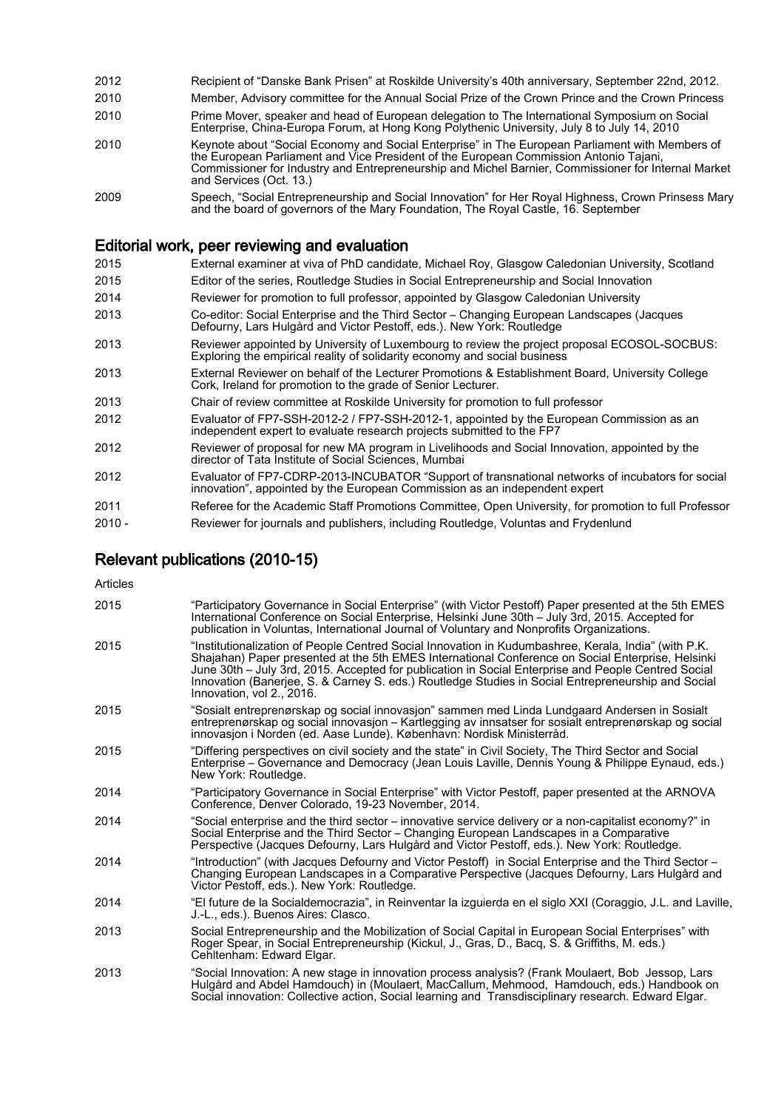| 2012          |  | Recipient of "Danske Bank Prisen" at Roskilde University's 40th anniversary, September 22nd, 2012. |  |  |                                          |  |          |  |  |
|---------------|--|----------------------------------------------------------------------------------------------------|--|--|------------------------------------------|--|----------|--|--|
| $\sim$ $\sim$ |  |                                                                                                    |  |  | $\mathbf{u}$ . The state of $\mathbf{u}$ |  | $\cdots$ |  |  |

- 2010 Member, Advisory committee for the Annual Social Prize of the Crown Prince and the Crown Princess
- 2010 Prime Mover, speaker and head of European delegation to The International Symposium on Social Enterprise, China-Europa Forum, at Hong Kong Polythenic University, July 8 to July 14, 2010
- 2010 Keynote about "Social Economy and Social Enterprise" in The European Parliament with Members of the European Parliament and Vice President of the European Commission Antonio Tajani, Commissioner for Industry and Entrepreneurship and Michel Barnier, Commissioner for Internal Market and Services (Oct. 13.)
- 2009 Speech, "Social Entrepreneurship and Social Innovation" for Her Royal Highness, Crown Prinsess Mary and the board of governors of the Mary Foundation, The Royal Castle, 16. September

## **Editorial work, peer reviewing and evaluation**<br>2015 **External examiner at viva of PhD candidat**

- External examiner at viva of PhD candidate, Michael Roy, Glasgow Caledonian University, Scotland
- 2015 Editor of the series, Routledge Studies in Social Entrepreneurship and Social Innovation
- 2014 Reviewer for promotion to full professor, appointed by Glasgow Caledonian University
- 2013 Co-editor: Social Enterprise and the Third Sector Changing European Landscapes (Jacques Defourny, Lars Hulgård and Victor Pestoff, eds.). New York: Routledge
- 2013 Reviewer appointed by University of Luxembourg to review the project proposal ECOSOL-SOCBUS: Exploring the empirical reality of solidarity economy and social business
- 2013 External Reviewer on behalf of the Lecturer Promotions & Establishment Board, University College Cork, Ireland for promotion to the grade of Senior Lecturer.
- 2013 Chair of review committee at Roskilde University for promotion to full professor
- 2012 Evaluator of FP7-SSH-2012-2 / FP7-SSH-2012-1, appointed by the European Commission as an independent expert to evaluate research projects submitted to the FP7
- 2012 Reviewer of proposal for new MA program in Livelihoods and Social Innovation, appointed by the director of Tata Institute of Social Sciences, Mumbai
- 2012 Evaluator of FP7-CDRP-2013-INCUBATOR "Support of transnational networks of incubators for social innovation", appointed by the European Commission as an independent expert
- 2011 Referee for the Academic Staff Promotions Committee, Open University, for promotion to full Professor
- 2010 Reviewer for journals and publishers, including Routledge, Voluntas and Frydenlund

#### Relevant publications (2010-15)

#### Articles

| 2015 | "Participatory Governance in Social Enterprise" (with Victor Pestoff) Paper presented at the 5th EMES<br>International Conference on Social Enterprise, Helsinki June 30th – July 3rd, 2015. Accepted for<br>publication in Voluntas, International Journal of Voluntary and Nonprofits Organizations.                                                                                                                                              |
|------|-----------------------------------------------------------------------------------------------------------------------------------------------------------------------------------------------------------------------------------------------------------------------------------------------------------------------------------------------------------------------------------------------------------------------------------------------------|
| 2015 | "Institutionalization of People Centred Social Innovation in Kudumbashree, Kerala, India" (with P.K.<br>Shajahan) Paper presented at the 5th EMES International Conference on Social Enterprise, Helsinki<br>June 30th - July 3rd, 2015. Accepted for publication in Social Enterprise and People Centred Social<br>Innovation (Banerjee, S. & Carney S. eds.) Routledge Studies in Social Entrepreneurship and Social<br>Innovation, vol 2., 2016. |
| 2015 | "Sosialt entreprenørskap og social innovasjon" sammen med Linda Lundgaard Andersen in Sosialt<br>entreprenørskap og social innovasjon – Kartlegging av innsatser for sosialt entreprenørskap og social<br>innovasjon i Norden (ed. Aase Lunde). København: Nordisk Ministerråd.                                                                                                                                                                     |
| 2015 | "Differing perspectives on civil society and the state" in Civil Society, The Third Sector and Social<br>Enterprise – Governance and Democracy (Jean Louis Laville, Dennis Young & Philippe Eynaud, eds.)<br>New York: Routledge.                                                                                                                                                                                                                   |
| 2014 | "Participatory Governance in Social Enterprise" with Victor Pestoff, paper presented at the ARNOVA<br>Conference, Denver Colorado, 19-23 November, 2014.                                                                                                                                                                                                                                                                                            |
| 2014 | "Social enterprise and the third sector – innovative service delivery or a non-capitalist economy?" in<br>Social Enterprise and the Third Sector – Changing European Landscapes in a Comparative<br>Perspective (Jacques Defourny, Lars Hulgård and Victor Pestoff, eds.). New York: Routledge.                                                                                                                                                     |
| 2014 | "Introduction" (with Jacques Defourny and Victor Pestoff) in Social Enterprise and the Third Sector –<br>Changing European Landscapes in a Comparative Perspective (Jacques Defourny, Lars Hulgård and<br>Victor Pestoff, eds.). New York: Routledge.                                                                                                                                                                                               |
| 2014 | "El future de la Socialdemocrazia", in Reinventar la izguierda en el siglo XXI (Coraggio, J.L. and Laville,<br>J.-L., eds.). Buenos Aires: Clasco.                                                                                                                                                                                                                                                                                                  |
| 2013 | Social Entrepreneurship and the Mobilization of Social Capital in European Social Enterprises" with<br>Roger Spear, in Social Entrepreneurship (Kickul, J., Gras, D., Bacg, S. & Griffiths, M. eds.)<br>Cehltenham: Edward Elgar.                                                                                                                                                                                                                   |
| 2013 | "Social Innovation: A new stage in innovation process analysis? (Frank Moulaert, Bob Jessop, Lars<br>Hulgård and Abdel Hamdouch) in (Moulaert, MacCallum, Mehmood, Hamdouch, eds.) Handbook on<br>Social innovation: Collective action, Social learning and Transdisciplinary research. Edward Elgar.                                                                                                                                               |